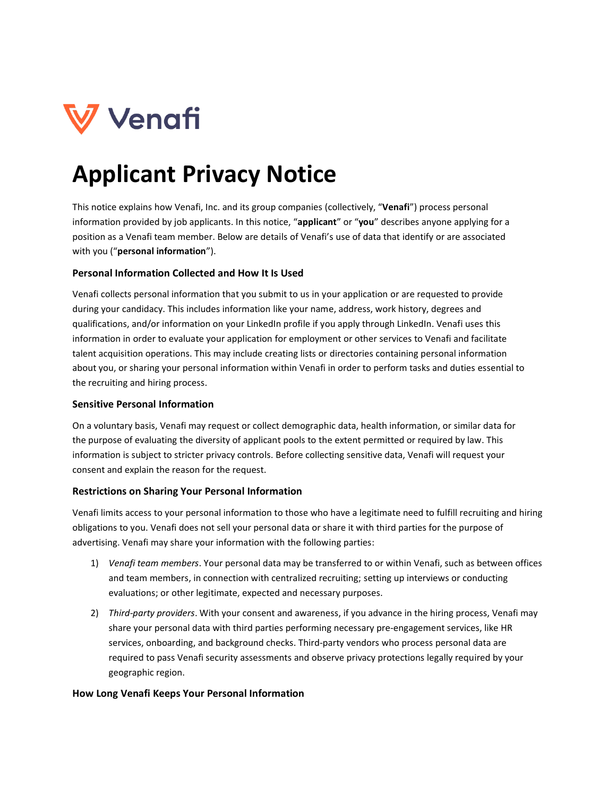

# **Applicant Privacy Notice**

This notice explains how Venafi, Inc. and its group companies (collectively, "**Venafi**") process personal information provided by job applicants. In this notice, "**applicant**" or "**you**" describes anyone applying for a position as a Venafi team member. Below are details of Venafi's use of data that identify or are associated with you ("**personal information**").

#### **Personal Information Collected and How It Is Used**

Venafi collects personal information that you submit to us in your application or are requested to provide during your candidacy. This includes information like your name, address, work history, degrees and qualifications, and/or information on your LinkedIn profile if you apply through LinkedIn. Venafi uses this information in order to evaluate your application for employment or other services to Venafi and facilitate talent acquisition operations. This may include creating lists or directories containing personal information about you, or sharing your personal information within Venafi in order to perform tasks and duties essential to the recruiting and hiring process.

#### **Sensitive Personal Information**

On a voluntary basis, Venafi may request or collect demographic data, health information, or similar data for the purpose of evaluating the diversity of applicant pools to the extent permitted or required by law. This information is subject to stricter privacy controls. Before collecting sensitive data, Venafi will request your consent and explain the reason for the request.

#### **Restrictions on Sharing Your Personal Information**

Venafi limits access to your personal information to those who have a legitimate need to fulfill recruiting and hiring obligations to you. Venafi does not sell your personal data or share it with third parties for the purpose of advertising. Venafi may share your information with the following parties:

- 1) *Venafi team members*. Your personal data may be transferred to or within Venafi, such as between offices and team members, in connection with centralized recruiting; setting up interviews or conducting evaluations; or other legitimate, expected and necessary purposes.
- 2) *Third-party providers*. With your consent and awareness, if you advance in the hiring process, Venafi may share your personal data with third parties performing necessary pre-engagement services, like HR services, onboarding, and background checks. Third-party vendors who process personal data are required to pass Venafi security assessments and observe privacy protections legally required by your geographic region.

#### **How Long Venafi Keeps Your Personal Information**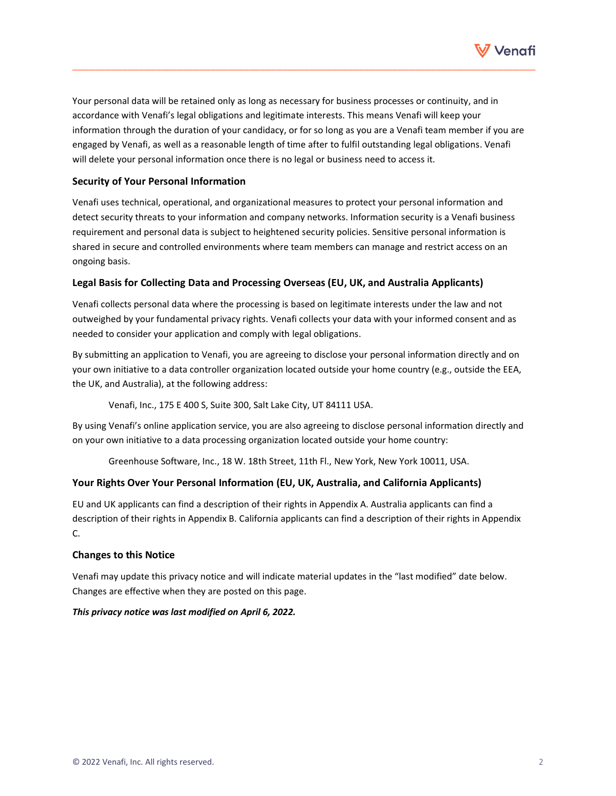

Your personal data will be retained only as long as necessary for business processes or continuity, and in accordance with Venafi's legal obligations and legitimate interests. This means Venafi will keep your information through the duration of your candidacy, or for so long as you are a Venafi team member if you are engaged by Venafi, as well as a reasonable length of time after to fulfil outstanding legal obligations. Venafi will delete your personal information once there is no legal or business need to access it.

\_\_\_\_\_\_\_\_\_\_\_\_\_\_\_\_\_\_\_\_\_\_\_\_\_\_\_\_\_\_\_\_\_\_\_\_\_\_\_\_\_\_\_\_\_\_\_\_\_\_\_\_\_\_\_\_\_\_\_\_\_\_\_\_\_\_\_\_\_\_\_\_\_\_\_\_\_\_\_\_\_\_\_\_

#### **Security of Your Personal Information**

Venafi uses technical, operational, and organizational measures to protect your personal information and detect security threats to your information and company networks. Information security is a Venafi business requirement and personal data is subject to heightened security policies. Sensitive personal information is shared in secure and controlled environments where team members can manage and restrict access on an ongoing basis.

#### **Legal Basis for Collecting Data and Processing Overseas (EU, UK, and Australia Applicants)**

Venafi collects personal data where the processing is based on legitimate interests under the law and not outweighed by your fundamental privacy rights. Venafi collects your data with your informed consent and as needed to consider your application and comply with legal obligations.

By submitting an application to Venafi, you are agreeing to disclose your personal information directly and on your own initiative to a data controller organization located outside your home country (e.g., outside the EEA, the UK, and Australia), at the following address:

Venafi, Inc., 175 E 400 S, Suite 300, Salt Lake City, UT 84111 USA.

By using Venafi's online application service, you are also agreeing to disclose personal information directly and on your own initiative to a data processing organization located outside your home country:

Greenhouse Software, Inc., 18 W. 18th Street, 11th Fl., New York, New York 10011, USA.

#### **Your Rights Over Your Personal Information (EU, UK, Australia, and California Applicants)**

EU and UK applicants can find a description of their rights in Appendix A. Australia applicants can find a description of their rights in Appendix B. California applicants can find a description of their rights in Appendix C.

#### **Changes to this Notice**

Venafi may update this privacy notice and will indicate material updates in the "last modified" date below. Changes are effective when they are posted on this page.

#### *This privacy notice was last modified on April 6, 2022.*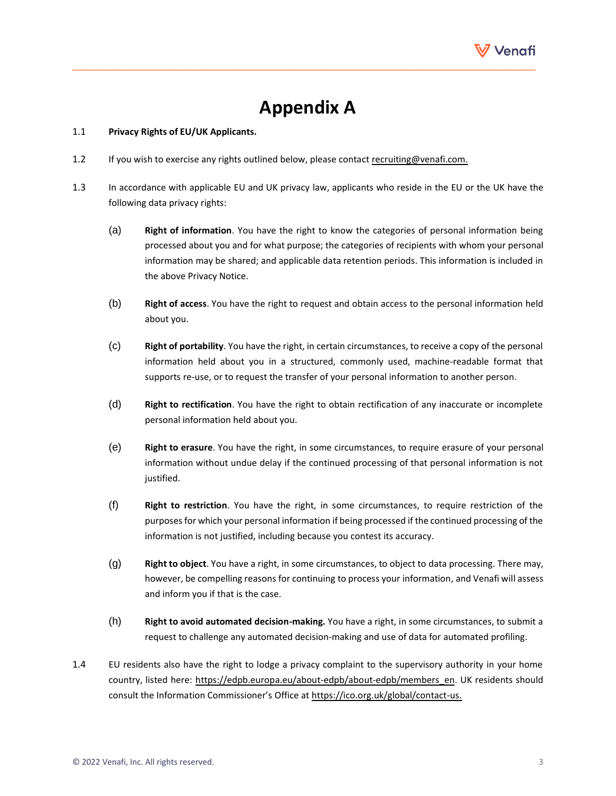

## **Appendix A**

\_\_\_\_\_\_\_\_\_\_\_\_\_\_\_\_\_\_\_\_\_\_\_\_\_\_\_\_\_\_\_\_\_\_\_\_\_\_\_\_\_\_\_\_\_\_\_\_\_\_\_\_\_\_\_\_\_\_\_\_\_\_\_\_\_\_\_\_\_\_\_\_\_\_\_\_\_\_\_\_\_\_\_\_

#### 1.1 **Privacy Rights of EU/UK Applicants.**

- 1.2 If you wish to exercise any rights outlined below, please contac[t recruiting@venafi.com.](mailto:recruiting@venafi.com)
- 1.3 In accordance with applicable EU and UK privacy law, applicants who reside in the EU or the UK have the following data privacy rights:
	- (a) **Right of information**. You have the right to know the categories of personal information being processed about you and for what purpose; the categories of recipients with whom your personal information may be shared; and applicable data retention periods. This information is included in the above Privacy Notice.
	- (b) **Right of access**. You have the right to request and obtain access to the personal information held about you.
	- (c) **Right of portability**. You have the right, in certain circumstances, to receive a copy of the personal information held about you in a structured, commonly used, machine-readable format that supports re-use, or to request the transfer of your personal information to another person.
	- (d) **Right to rectification**. You have the right to obtain rectification of any inaccurate or incomplete personal information held about you.
	- (e) **Right to erasure**. You have the right, in some circumstances, to require erasure of your personal information without undue delay if the continued processing of that personal information is not justified.
	- (f) **Right to restriction**. You have the right, in some circumstances, to require restriction of the purposesfor which your personal information if being processed if the continued processing of the information is not justified, including because you contest its accuracy.
	- (g) **Right to object**. You have a right, in some circumstances, to object to data processing. There may, however, be compelling reasons for continuing to process your information, and Venafi will assess and inform you if that is the case.
	- (h) **Right to avoid automated decision-making.** You have a right, in some circumstances, to submit a request to challenge any automated decision-making and use of data for automated profiling.
- 1.4 EU residents also have the right to lodge a privacy complaint to the supervisory authority in your home country, listed here: [https://edpb.europa.eu/about-edpb/about-edpb/members\\_en.](https://edpb.europa.eu/about-edpb/about-edpb/members_en) UK residents should consult the Information Commissioner's Office at [https://ico.org.uk/global/contact-us.](https://ico.org.uk/global/contact-us)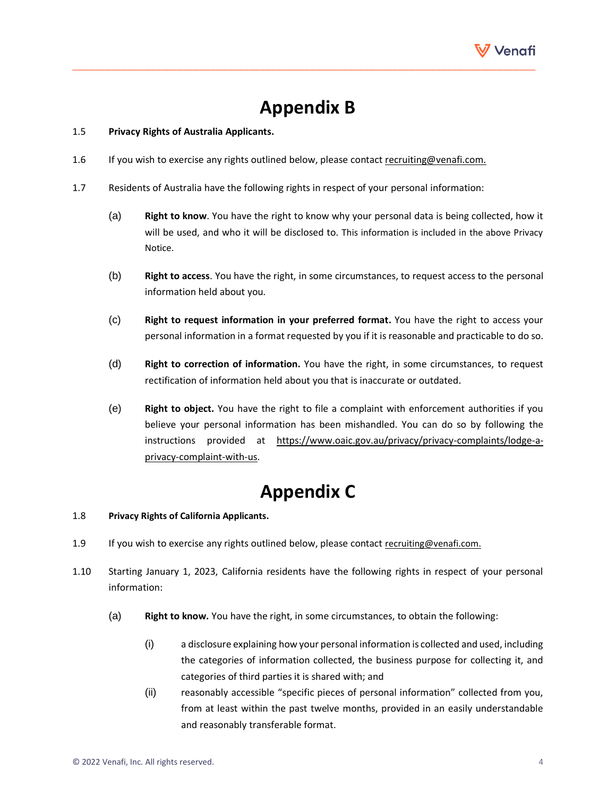

## **Appendix B**

\_\_\_\_\_\_\_\_\_\_\_\_\_\_\_\_\_\_\_\_\_\_\_\_\_\_\_\_\_\_\_\_\_\_\_\_\_\_\_\_\_\_\_\_\_\_\_\_\_\_\_\_\_\_\_\_\_\_\_\_\_\_\_\_\_\_\_\_\_\_\_\_\_\_\_\_\_\_\_\_\_\_\_\_

#### 1.5 **Privacy Rights of Australia Applicants.**

- 1.6 If you wish to exercise any rights outlined below, please contac[t recruiting@venafi.com.](mailto:recruiting@venafi.com)
- 1.7 Residents of Australia have the following rights in respect of your personal information:
	- (a) **Right to know**. You have the right to know why your personal data is being collected, how it will be used, and who it will be disclosed to. This information is included in the above Privacy Notice.
	- (b) **Right to access**. You have the right, in some circumstances, to request access to the personal information held about you.
	- (c) **Right to request information in your preferred format.** You have the right to access your personal information in a format requested by you if it is reasonable and practicable to do so.
	- (d) **Right to correction of information.** You have the right, in some circumstances, to request rectification of information held about you that is inaccurate or outdated.
	- (e) **Right to object.** You have the right to file a complaint with enforcement authorities if you believe your personal information has been mishandled. You can do so by following the instructions provided at [https://www.oaic.gov.au/privacy/privacy-complaints/lodge-a](https://www.oaic.gov.au/privacy/privacy-complaints/lodge-a-privacy-complaint-with-us)[privacy-complaint-with-us.](https://www.oaic.gov.au/privacy/privacy-complaints/lodge-a-privacy-complaint-with-us)

### **Appendix C**

#### 1.8 **Privacy Rights of California Applicants.**

- 1.9 If you wish to exercise any rights outlined below, please contact [recruiting@venafi.com.](mailto:recruiting@venafi.com)
- 1.10 Starting January 1, 2023, California residents have the following rights in respect of your personal information:
	- (a) **Right to know.** You have the right, in some circumstances, to obtain the following:
		- (i) a disclosure explaining how your personal information is collected and used, including the categories of information collected, the business purpose for collecting it, and categories of third parties it is shared with; and
		- (ii) reasonably accessible "specific pieces of personal information" collected from you, from at least within the past twelve months, provided in an easily understandable and reasonably transferable format.